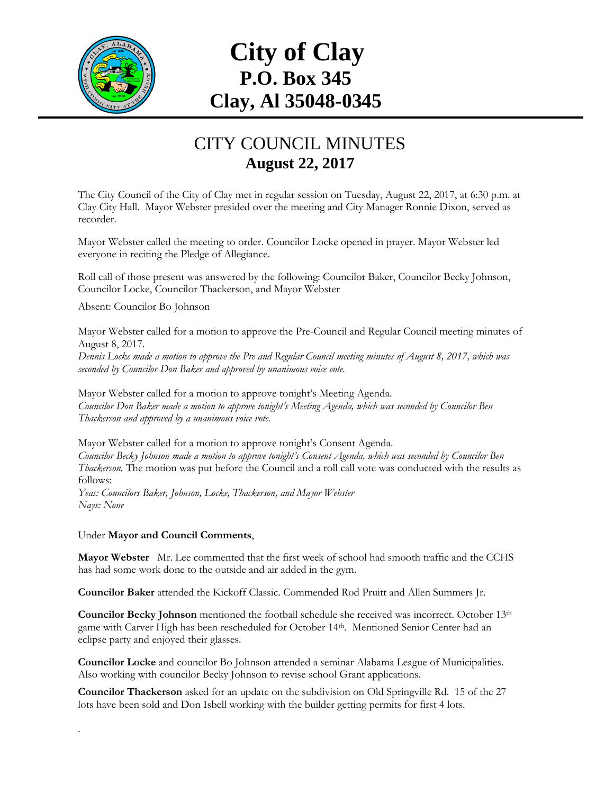

## **City of Clay P.O. Box 345 Clay, Al 35048-0345**

## CITY COUNCIL MINUTES **August 22, 2017**

The City Council of the City of Clay met in regular session on Tuesday, August 22, 2017, at 6:30 p.m. at Clay City Hall. Mayor Webster presided over the meeting and City Manager Ronnie Dixon, served as recorder.

Mayor Webster called the meeting to order. Councilor Locke opened in prayer. Mayor Webster led everyone in reciting the Pledge of Allegiance.

Roll call of those present was answered by the following: Councilor Baker, Councilor Becky Johnson, Councilor Locke, Councilor Thackerson, and Mayor Webster

Absent: Councilor Bo Johnson

Mayor Webster called for a motion to approve the Pre-Council and Regular Council meeting minutes of August 8, 2017.

*Dennis Locke made a motion to approve the Pre and Regular Council meeting minutes of August 8, 2017, which was seconded by Councilor Don Baker and approved by unanimous voice vote.*

Mayor Webster called for a motion to approve tonight's Meeting Agenda. *Councilor Don Baker made a motion to approve tonight's Meeting Agenda, which was seconded by Councilor Ben Thackerson and approved by a unanimous voice vote.*

Mayor Webster called for a motion to approve tonight's Consent Agenda. *Councilor Becky Johnson made a motion to approve tonight's Consent Agenda, which was seconded by Councilor Ben Thackerson.* The motion was put before the Council and a roll call vote was conducted with the results as follows:

*Yeas: Councilors Baker, Johnson, Locke, Thackerson, and Mayor Webster Nays: None*

Under **Mayor and Council Comments**,

.

**Mayor Webster** Mr. Lee commented that the first week of school had smooth traffic and the CCHS has had some work done to the outside and air added in the gym.

**Councilor Baker** attended the Kickoff Classic. Commended Rod Pruitt and Allen Summers Jr.

**Councilor Becky Johnson** mentioned the football schedule she received was incorrect. October 13th game with Carver High has been rescheduled for October 14th. Mentioned Senior Center had an eclipse party and enjoyed their glasses.

**Councilor Locke** and councilor Bo Johnson attended a seminar Alabama League of Municipalities. Also working with councilor Becky Johnson to revise school Grant applications.

**Councilor Thackerson** asked for an update on the subdivision on Old Springville Rd. 15 of the 27 lots have been sold and Don Isbell working with the builder getting permits for first 4 lots.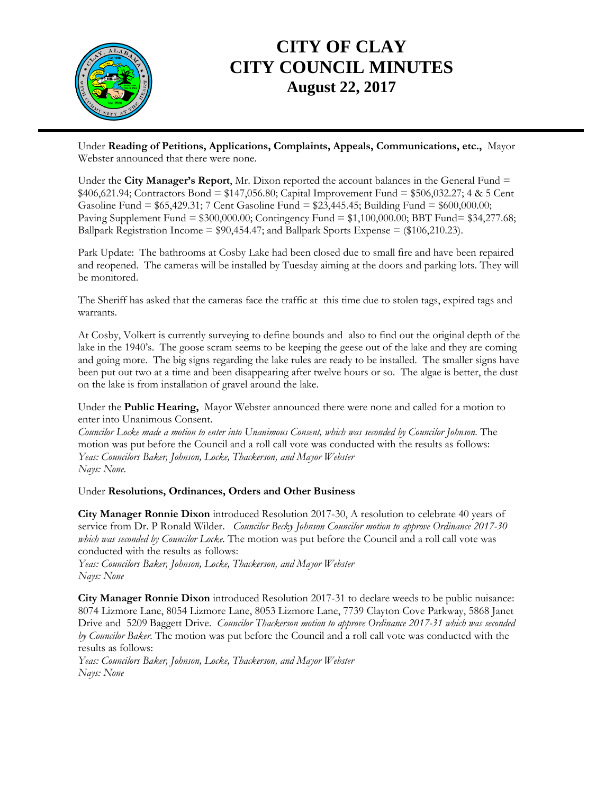

## **CITY OF CLAY CITY COUNCIL MINUTES August 22, 2017**

Under **Reading of Petitions, Applications, Complaints, Appeals, Communications, etc.,** Mayor Webster announced that there were none.

Under the **City Manager's Report**, Mr. Dixon reported the account balances in the General Fund =  $$406,621.94$ ; Contractors Bond =  $$147,056.80$ ; Capital Improvement Fund =  $$506,032.27$ ; 4 & 5 Cent Gasoline Fund = \$65,429.31; 7 Cent Gasoline Fund = \$23,445.45; Building Fund = \$600,000.00; Paving Supplement Fund  $= $300,000.00$ ; Contingency Fund  $= $1,100,000.00$ ; BBT Fund  $= $34,277.68$ ; Ballpark Registration Income =  $$90,454.47$ ; and Ballpark Sports Expense =  $$106,210.23$ ).

Park Update: The bathrooms at Cosby Lake had been closed due to small fire and have been repaired and reopened. The cameras will be installed by Tuesday aiming at the doors and parking lots. They will be monitored.

The Sheriff has asked that the cameras face the traffic at this time due to stolen tags, expired tags and warrants.

At Cosby, Volkert is currently surveying to define bounds and also to find out the original depth of the lake in the 1940's. The goose scram seems to be keeping the geese out of the lake and they are coming and going more. The big signs regarding the lake rules are ready to be installed. The smaller signs have been put out two at a time and been disappearing after twelve hours or so. The algae is better, the dust on the lake is from installation of gravel around the lake.

Under the **Public Hearing,** Mayor Webster announced there were none and called for a motion to enter into Unanimous Consent.

*Councilor Locke made a motion to enter into Unanimous Consent, which was seconded by Councilor Johnson.* The motion was put before the Council and a roll call vote was conducted with the results as follows: *Yeas: Councilors Baker, Johnson, Locke, Thackerson, and Mayor Webster Nays: None*.

Under **Resolutions, Ordinances, Orders and Other Business** 

**City Manager Ronnie Dixon** introduced Resolution 2017-30, A resolution to celebrate 40 years of service from Dr. P Ronald Wilder. *Councilor Becky Johnson Councilor motion to approve Ordinance 2017-30 which was seconded by Councilor Locke.* The motion was put before the Council and a roll call vote was conducted with the results as follows:

*Yeas: Councilors Baker, Johnson, Locke, Thackerson, and Mayor Webster Nays: None*

**City Manager Ronnie Dixon** introduced Resolution 2017-31 to declare weeds to be public nuisance: 8074 Lizmore Lane, 8054 Lizmore Lane, 8053 Lizmore Lane, 7739 Clayton Cove Parkway, 5868 Janet Drive and 5209 Baggett Drive. *Councilor Thackerson motion to approve Ordinance 2017-31 which was seconded by Councilor Baker.* The motion was put before the Council and a roll call vote was conducted with the results as follows:

*Yeas: Councilors Baker, Johnson, Locke, Thackerson, and Mayor Webster Nays: None*